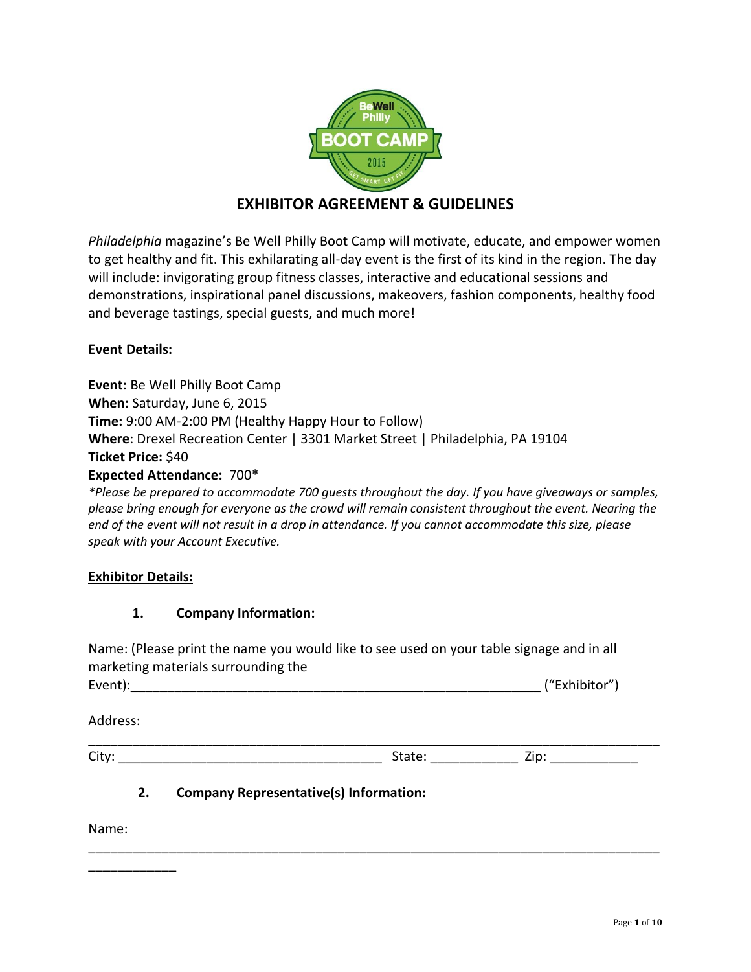

# **EXHIBITOR AGREEMENT & GUIDELINES**

*Philadelphia* magazine's Be Well Philly Boot Camp will motivate, educate, and empower women to get healthy and fit. This exhilarating all-day event is the first of its kind in the region. The day will include: invigorating group fitness classes, interactive and educational sessions and demonstrations, inspirational panel discussions, makeovers, fashion components, healthy food and beverage tastings, special guests, and much more!

### **Event Details:**

**Event:** Be Well Philly Boot Camp **When:** Saturday, June 6, 2015 **Time:** 9:00 AM-2:00 PM (Healthy Happy Hour to Follow) **Where**: Drexel Recreation Center | 3301 Market Street | Philadelphia, PA 19104 **Ticket Price:** \$40 **Expected Attendance:** 700\*

*\*Please be prepared to accommodate 700 guests throughout the day. If you have giveaways or samples, please bring enough for everyone as the crowd will remain consistent throughout the event. Nearing the end of the event will not result in a drop in attendance. If you cannot accommodate this size, please speak with your Account Executive.* 

### **Exhibitor Details:**

### **1. Company Information:**

Name: (Please print the name you would like to see used on your table signage and in all marketing materials surrounding the Event):\_\_\_\_\_\_\_\_\_\_\_\_\_\_\_\_\_\_\_\_\_\_\_\_\_\_\_\_\_\_\_\_\_\_\_\_\_\_\_\_\_\_\_\_\_\_\_\_\_\_\_\_\_\_\_\_ ("Exhibitor")

\_\_\_\_\_\_\_\_\_\_\_\_\_\_\_\_\_\_\_\_\_\_\_\_\_\_\_\_\_\_\_\_\_\_\_\_\_\_\_\_\_\_\_\_\_\_\_\_\_\_\_\_\_\_\_\_\_\_\_\_\_\_\_\_\_\_\_\_\_\_\_\_\_\_\_\_\_\_

Address:

\_\_\_\_\_\_\_\_\_\_\_\_\_\_\_\_\_\_\_\_\_\_\_\_\_\_\_\_\_\_\_\_\_\_\_\_\_\_\_\_\_\_\_\_\_\_\_\_\_\_\_\_\_\_\_\_\_\_\_\_\_\_\_\_\_\_\_\_\_\_\_\_\_\_\_\_\_\_

City: \_\_\_\_\_\_\_\_\_\_\_\_\_\_\_\_\_\_\_\_\_\_\_\_\_\_\_\_\_\_\_\_\_\_\_\_ State: \_\_\_\_\_\_\_\_\_\_\_\_ Zip: \_\_\_\_\_\_\_\_\_\_\_\_

## **2. Company Representative(s) Information:**

Name:

\_\_\_\_\_\_\_\_\_\_\_\_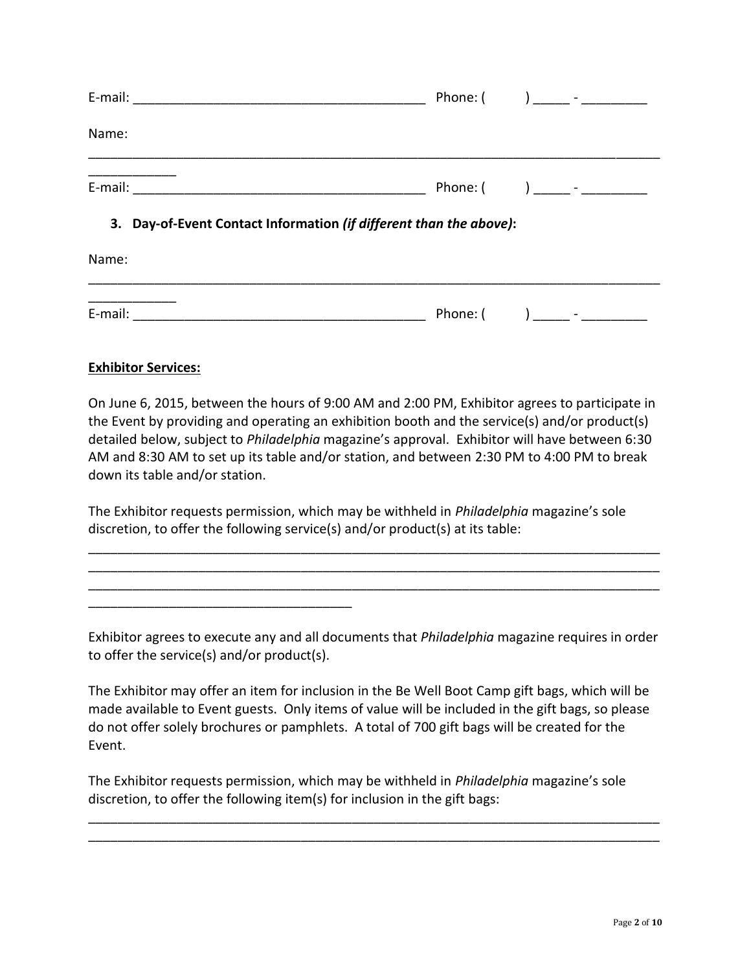|       |                                                                    | Phone: $\begin{pmatrix} 1 & 1 \\ 1 & 1 \end{pmatrix}$ $\begin{pmatrix} 1 & 1 \\ -1 & 1 \end{pmatrix}$ |
|-------|--------------------------------------------------------------------|-------------------------------------------------------------------------------------------------------|
| Name: |                                                                    |                                                                                                       |
|       |                                                                    |                                                                                                       |
|       | 3. Day-of-Event Contact Information (if different than the above): |                                                                                                       |
| Name: |                                                                    |                                                                                                       |
|       |                                                                    |                                                                                                       |

| $\overline{\phantom{0}}$<br>►.<br>- |  | - |
|-------------------------------------|--|---|
|                                     |  |   |

### **Exhibitor Services:**

\_\_\_\_\_\_\_\_\_\_\_\_\_\_\_\_\_\_\_\_\_\_\_\_\_\_\_\_\_\_\_\_\_\_\_\_

On June 6, 2015, between the hours of 9:00 AM and 2:00 PM, Exhibitor agrees to participate in the Event by providing and operating an exhibition booth and the service(s) and/or product(s) detailed below, subject to *Philadelphia* magazine's approval. Exhibitor will have between 6:30 AM and 8:30 AM to set up its table and/or station, and between 2:30 PM to 4:00 PM to break down its table and/or station.

The Exhibitor requests permission, which may be withheld in *Philadelphia* magazine's sole discretion, to offer the following service(s) and/or product(s) at its table:

Exhibitor agrees to execute any and all documents that *Philadelphia* magazine requires in order to offer the service(s) and/or product(s).

\_\_\_\_\_\_\_\_\_\_\_\_\_\_\_\_\_\_\_\_\_\_\_\_\_\_\_\_\_\_\_\_\_\_\_\_\_\_\_\_\_\_\_\_\_\_\_\_\_\_\_\_\_\_\_\_\_\_\_\_\_\_\_\_\_\_\_\_\_\_\_\_\_\_\_\_\_\_ \_\_\_\_\_\_\_\_\_\_\_\_\_\_\_\_\_\_\_\_\_\_\_\_\_\_\_\_\_\_\_\_\_\_\_\_\_\_\_\_\_\_\_\_\_\_\_\_\_\_\_\_\_\_\_\_\_\_\_\_\_\_\_\_\_\_\_\_\_\_\_\_\_\_\_\_\_\_ \_\_\_\_\_\_\_\_\_\_\_\_\_\_\_\_\_\_\_\_\_\_\_\_\_\_\_\_\_\_\_\_\_\_\_\_\_\_\_\_\_\_\_\_\_\_\_\_\_\_\_\_\_\_\_\_\_\_\_\_\_\_\_\_\_\_\_\_\_\_\_\_\_\_\_\_\_\_

The Exhibitor may offer an item for inclusion in the Be Well Boot Camp gift bags, which will be made available to Event guests. Only items of value will be included in the gift bags, so please do not offer solely brochures or pamphlets. A total of 700 gift bags will be created for the Event.

The Exhibitor requests permission, which may be withheld in *Philadelphia* magazine's sole discretion, to offer the following item(s) for inclusion in the gift bags:

\_\_\_\_\_\_\_\_\_\_\_\_\_\_\_\_\_\_\_\_\_\_\_\_\_\_\_\_\_\_\_\_\_\_\_\_\_\_\_\_\_\_\_\_\_\_\_\_\_\_\_\_\_\_\_\_\_\_\_\_\_\_\_\_\_\_\_\_\_\_\_\_\_\_\_\_\_\_ \_\_\_\_\_\_\_\_\_\_\_\_\_\_\_\_\_\_\_\_\_\_\_\_\_\_\_\_\_\_\_\_\_\_\_\_\_\_\_\_\_\_\_\_\_\_\_\_\_\_\_\_\_\_\_\_\_\_\_\_\_\_\_\_\_\_\_\_\_\_\_\_\_\_\_\_\_\_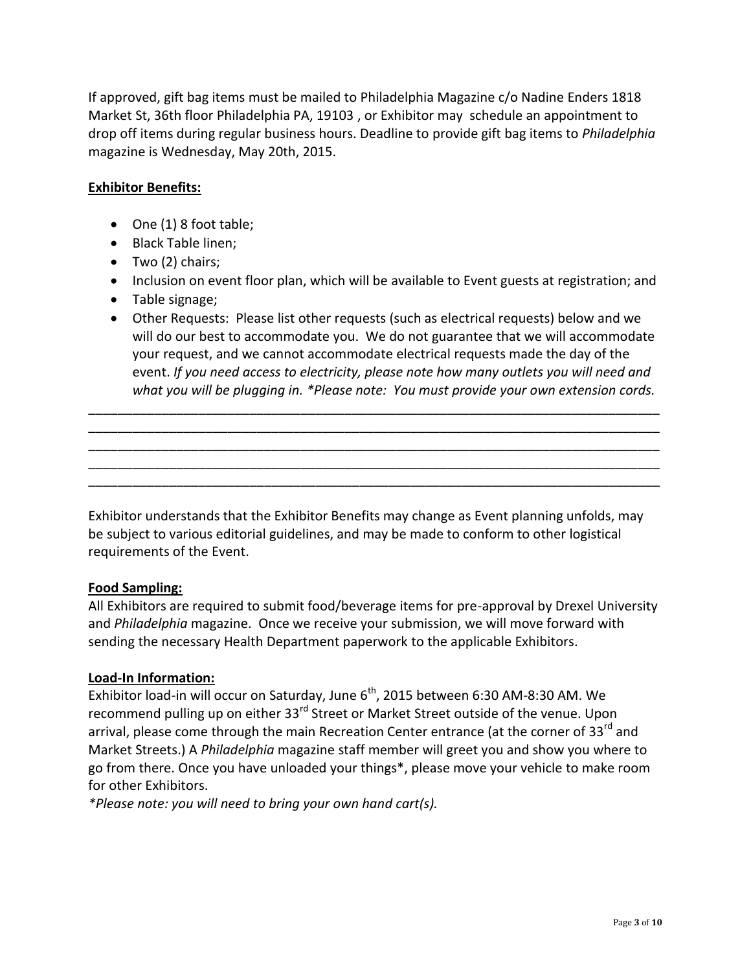If approved, gift bag items must be mailed to Philadelphia Magazine c/o Nadine Enders 1818 Market St, 36th floor Philadelphia PA, 19103 , or Exhibitor may schedule an appointment to drop off items during regular business hours. Deadline to provide gift bag items to *Philadelphia*  magazine is Wednesday, May 20th, 2015.

### **Exhibitor Benefits:**

- One (1) 8 foot table;
- Black Table linen;
- Two (2) chairs;
- Inclusion on event floor plan, which will be available to Event guests at registration; and
- Table signage;
- Other Requests: Please list other requests (such as electrical requests) below and we will do our best to accommodate you. We do not guarantee that we will accommodate your request, and we cannot accommodate electrical requests made the day of the event. *If you need access to electricity, please note how many outlets you will need and what you will be plugging in. \*Please note: You must provide your own extension cords.*

\_\_\_\_\_\_\_\_\_\_\_\_\_\_\_\_\_\_\_\_\_\_\_\_\_\_\_\_\_\_\_\_\_\_\_\_\_\_\_\_\_\_\_\_\_\_\_\_\_\_\_\_\_\_\_\_\_\_\_\_\_\_\_\_\_\_\_\_\_\_\_\_\_\_\_\_\_\_ \_\_\_\_\_\_\_\_\_\_\_\_\_\_\_\_\_\_\_\_\_\_\_\_\_\_\_\_\_\_\_\_\_\_\_\_\_\_\_\_\_\_\_\_\_\_\_\_\_\_\_\_\_\_\_\_\_\_\_\_\_\_\_\_\_\_\_\_\_\_\_\_\_\_\_\_\_\_ \_\_\_\_\_\_\_\_\_\_\_\_\_\_\_\_\_\_\_\_\_\_\_\_\_\_\_\_\_\_\_\_\_\_\_\_\_\_\_\_\_\_\_\_\_\_\_\_\_\_\_\_\_\_\_\_\_\_\_\_\_\_\_\_\_\_\_\_\_\_\_\_\_\_\_\_\_\_ \_\_\_\_\_\_\_\_\_\_\_\_\_\_\_\_\_\_\_\_\_\_\_\_\_\_\_\_\_\_\_\_\_\_\_\_\_\_\_\_\_\_\_\_\_\_\_\_\_\_\_\_\_\_\_\_\_\_\_\_\_\_\_\_\_\_\_\_\_\_\_\_\_\_\_\_\_\_ \_\_\_\_\_\_\_\_\_\_\_\_\_\_\_\_\_\_\_\_\_\_\_\_\_\_\_\_\_\_\_\_\_\_\_\_\_\_\_\_\_\_\_\_\_\_\_\_\_\_\_\_\_\_\_\_\_\_\_\_\_\_\_\_\_\_\_\_\_\_\_\_\_\_\_\_\_\_

Exhibitor understands that the Exhibitor Benefits may change as Event planning unfolds, may be subject to various editorial guidelines, and may be made to conform to other logistical requirements of the Event.

### **Food Sampling:**

All Exhibitors are required to submit food/beverage items for pre-approval by Drexel University and *Philadelphia* magazine. Once we receive your submission, we will move forward with sending the necessary Health Department paperwork to the applicable Exhibitors.

### **Load-In Information:**

Exhibitor load-in will occur on Saturday, June  $6^{th}$ , 2015 between 6:30 AM-8:30 AM. We recommend pulling up on either 33<sup>rd</sup> Street or Market Street outside of the venue. Upon arrival, please come through the main Recreation Center entrance (at the corner of 33<sup>rd</sup> and Market Streets.) A *Philadelphia* magazine staff member will greet you and show you where to go from there. Once you have unloaded your things\*, please move your vehicle to make room for other Exhibitors.

*\*Please note: you will need to bring your own hand cart(s).*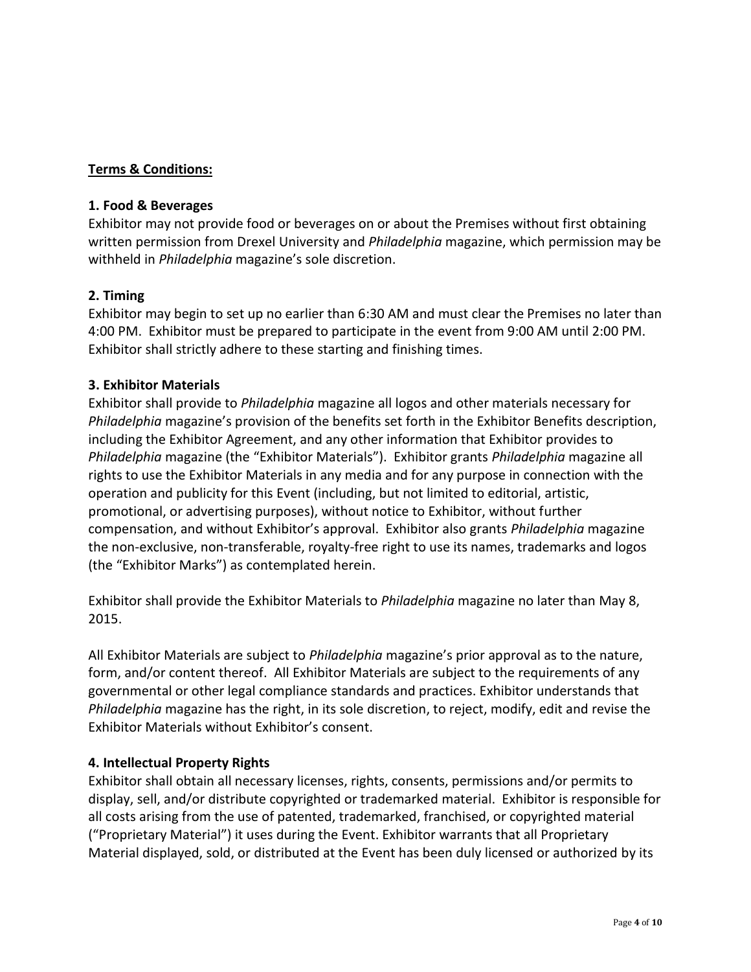### **Terms & Conditions:**

#### **1. Food & Beverages**

Exhibitor may not provide food or beverages on or about the Premises without first obtaining written permission from Drexel University and *Philadelphia* magazine, which permission may be withheld in *Philadelphia* magazine's sole discretion.

### **2. Timing**

Exhibitor may begin to set up no earlier than 6:30 AM and must clear the Premises no later than 4:00 PM. Exhibitor must be prepared to participate in the event from 9:00 AM until 2:00 PM. Exhibitor shall strictly adhere to these starting and finishing times.

### **3. Exhibitor Materials**

Exhibitor shall provide to *Philadelphia* magazine all logos and other materials necessary for *Philadelphia* magazine's provision of the benefits set forth in the Exhibitor Benefits description, including the Exhibitor Agreement, and any other information that Exhibitor provides to *Philadelphia* magazine (the "Exhibitor Materials"). Exhibitor grants *Philadelphia* magazine all rights to use the Exhibitor Materials in any media and for any purpose in connection with the operation and publicity for this Event (including, but not limited to editorial, artistic, promotional, or advertising purposes), without notice to Exhibitor, without further compensation, and without Exhibitor's approval. Exhibitor also grants *Philadelphia* magazine the non-exclusive, non-transferable, royalty-free right to use its names, trademarks and logos (the "Exhibitor Marks") as contemplated herein.

Exhibitor shall provide the Exhibitor Materials to *Philadelphia* magazine no later than May 8, 2015.

All Exhibitor Materials are subject to *Philadelphia* magazine's prior approval as to the nature, form, and/or content thereof. All Exhibitor Materials are subject to the requirements of any governmental or other legal compliance standards and practices. Exhibitor understands that *Philadelphia* magazine has the right, in its sole discretion, to reject, modify, edit and revise the Exhibitor Materials without Exhibitor's consent.

### **4. Intellectual Property Rights**

Exhibitor shall obtain all necessary licenses, rights, consents, permissions and/or permits to display, sell, and/or distribute copyrighted or trademarked material. Exhibitor is responsible for all costs arising from the use of patented, trademarked, franchised, or copyrighted material ("Proprietary Material") it uses during the Event. Exhibitor warrants that all Proprietary Material displayed, sold, or distributed at the Event has been duly licensed or authorized by its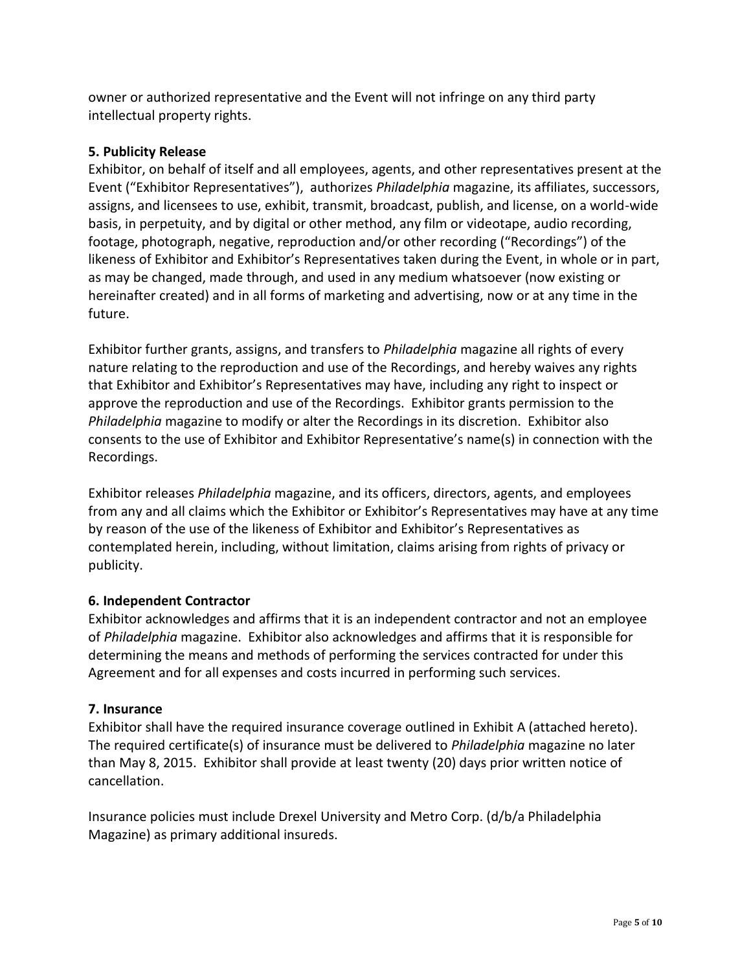owner or authorized representative and the Event will not infringe on any third party intellectual property rights.

### **5. Publicity Release**

Exhibitor, on behalf of itself and all employees, agents, and other representatives present at the Event ("Exhibitor Representatives"), authorizes *Philadelphia* magazine, its affiliates, successors, assigns, and licensees to use, exhibit, transmit, broadcast, publish, and license, on a world-wide basis, in perpetuity, and by digital or other method, any film or videotape, audio recording, footage, photograph, negative, reproduction and/or other recording ("Recordings") of the likeness of Exhibitor and Exhibitor's Representatives taken during the Event, in whole or in part, as may be changed, made through, and used in any medium whatsoever (now existing or hereinafter created) and in all forms of marketing and advertising, now or at any time in the future.

Exhibitor further grants, assigns, and transfers to *Philadelphia* magazine all rights of every nature relating to the reproduction and use of the Recordings, and hereby waives any rights that Exhibitor and Exhibitor's Representatives may have, including any right to inspect or approve the reproduction and use of the Recordings. Exhibitor grants permission to the *Philadelphia* magazine to modify or alter the Recordings in its discretion. Exhibitor also consents to the use of Exhibitor and Exhibitor Representative's name(s) in connection with the Recordings.

Exhibitor releases *Philadelphia* magazine, and its officers, directors, agents, and employees from any and all claims which the Exhibitor or Exhibitor's Representatives may have at any time by reason of the use of the likeness of Exhibitor and Exhibitor's Representatives as contemplated herein, including, without limitation, claims arising from rights of privacy or publicity.

## **6. Independent Contractor**

Exhibitor acknowledges and affirms that it is an independent contractor and not an employee of *Philadelphia* magazine. Exhibitor also acknowledges and affirms that it is responsible for determining the means and methods of performing the services contracted for under this Agreement and for all expenses and costs incurred in performing such services.

### **7. Insurance**

Exhibitor shall have the required insurance coverage outlined in Exhibit A (attached hereto). The required certificate(s) of insurance must be delivered to *Philadelphia* magazine no later than May 8, 2015. Exhibitor shall provide at least twenty (20) days prior written notice of cancellation.

Insurance policies must include Drexel University and Metro Corp. (d/b/a Philadelphia Magazine) as primary additional insureds.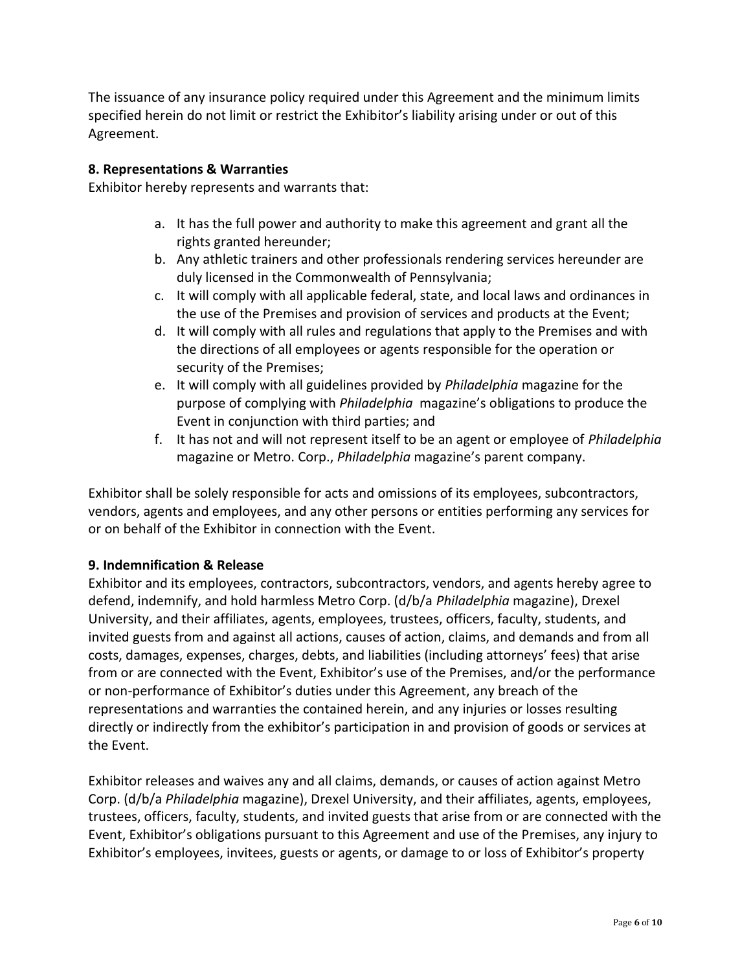The issuance of any insurance policy required under this Agreement and the minimum limits specified herein do not limit or restrict the Exhibitor's liability arising under or out of this Agreement.

### **8. Representations & Warranties**

Exhibitor hereby represents and warrants that:

- a. It has the full power and authority to make this agreement and grant all the rights granted hereunder;
- b. Any athletic trainers and other professionals rendering services hereunder are duly licensed in the Commonwealth of Pennsylvania;
- c. It will comply with all applicable federal, state, and local laws and ordinances in the use of the Premises and provision of services and products at the Event;
- d. It will comply with all rules and regulations that apply to the Premises and with the directions of all employees or agents responsible for the operation or security of the Premises;
- e. It will comply with all guidelines provided by *Philadelphia* magazine for the purpose of complying with *Philadelphia* magazine's obligations to produce the Event in conjunction with third parties; and
- f. It has not and will not represent itself to be an agent or employee of *Philadelphia*  magazine or Metro. Corp., *Philadelphia* magazine's parent company.

Exhibitor shall be solely responsible for acts and omissions of its employees, subcontractors, vendors, agents and employees, and any other persons or entities performing any services for or on behalf of the Exhibitor in connection with the Event.

## **9. Indemnification & Release**

Exhibitor and its employees, contractors, subcontractors, vendors, and agents hereby agree to defend, indemnify, and hold harmless Metro Corp. (d/b/a *Philadelphia* magazine), Drexel University, and their affiliates, agents, employees, trustees, officers, faculty, students, and invited guests from and against all actions, causes of action, claims, and demands and from all costs, damages, expenses, charges, debts, and liabilities (including attorneys' fees) that arise from or are connected with the Event, Exhibitor's use of the Premises, and/or the performance or non-performance of Exhibitor's duties under this Agreement, any breach of the representations and warranties the contained herein, and any injuries or losses resulting directly or indirectly from the exhibitor's participation in and provision of goods or services at the Event.

Exhibitor releases and waives any and all claims, demands, or causes of action against Metro Corp. (d/b/a *Philadelphia* magazine), Drexel University, and their affiliates, agents, employees, trustees, officers, faculty, students, and invited guests that arise from or are connected with the Event, Exhibitor's obligations pursuant to this Agreement and use of the Premises, any injury to Exhibitor's employees, invitees, guests or agents, or damage to or loss of Exhibitor's property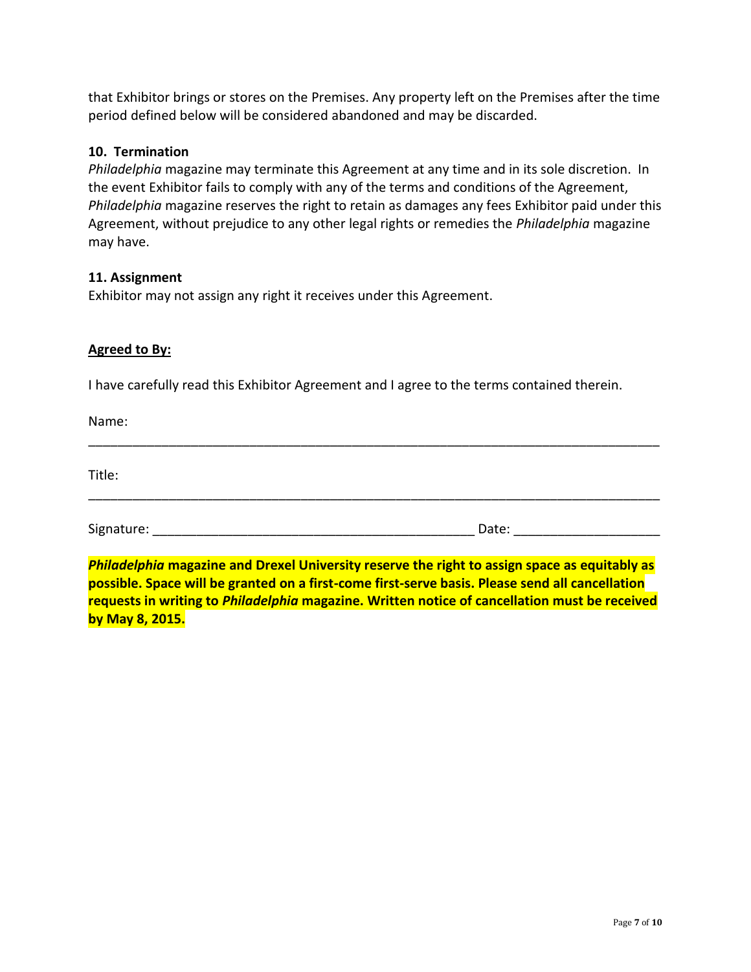that Exhibitor brings or stores on the Premises. Any property left on the Premises after the time period defined below will be considered abandoned and may be discarded.

#### **10. Termination**

*Philadelphia* magazine may terminate this Agreement at any time and in its sole discretion. In the event Exhibitor fails to comply with any of the terms and conditions of the Agreement, *Philadelphia* magazine reserves the right to retain as damages any fees Exhibitor paid under this Agreement, without prejudice to any other legal rights or remedies the *Philadelphia* magazine may have.

#### **11. Assignment**

Exhibitor may not assign any right it receives under this Agreement.

#### **Agreed to By:**

I have carefully read this Exhibitor Agreement and I agree to the terms contained therein.

Name:

Title:

Signature: \_\_\_\_\_\_\_\_\_\_\_\_\_\_\_\_\_\_\_\_\_\_\_\_\_\_\_\_\_\_\_\_\_\_\_\_\_\_\_\_\_\_\_\_ Date: \_\_\_\_\_\_\_\_\_\_\_\_\_\_\_\_\_\_\_\_

\_\_\_\_\_\_\_\_\_\_\_\_\_\_\_\_\_\_\_\_\_\_\_\_\_\_\_\_\_\_\_\_\_\_\_\_\_\_\_\_\_\_\_\_\_\_\_\_\_\_\_\_\_\_\_\_\_\_\_\_\_\_\_\_\_\_\_\_\_\_\_\_\_\_\_\_\_\_

\_\_\_\_\_\_\_\_\_\_\_\_\_\_\_\_\_\_\_\_\_\_\_\_\_\_\_\_\_\_\_\_\_\_\_\_\_\_\_\_\_\_\_\_\_\_\_\_\_\_\_\_\_\_\_\_\_\_\_\_\_\_\_\_\_\_\_\_\_\_\_\_\_\_\_\_\_\_

*Philadelphia* **magazine and Drexel University reserve the right to assign space as equitably as possible. Space will be granted on a first-come first-serve basis. Please send all cancellation requests in writing to** *Philadelphia* **magazine. Written notice of cancellation must be received by May 8, 2015.**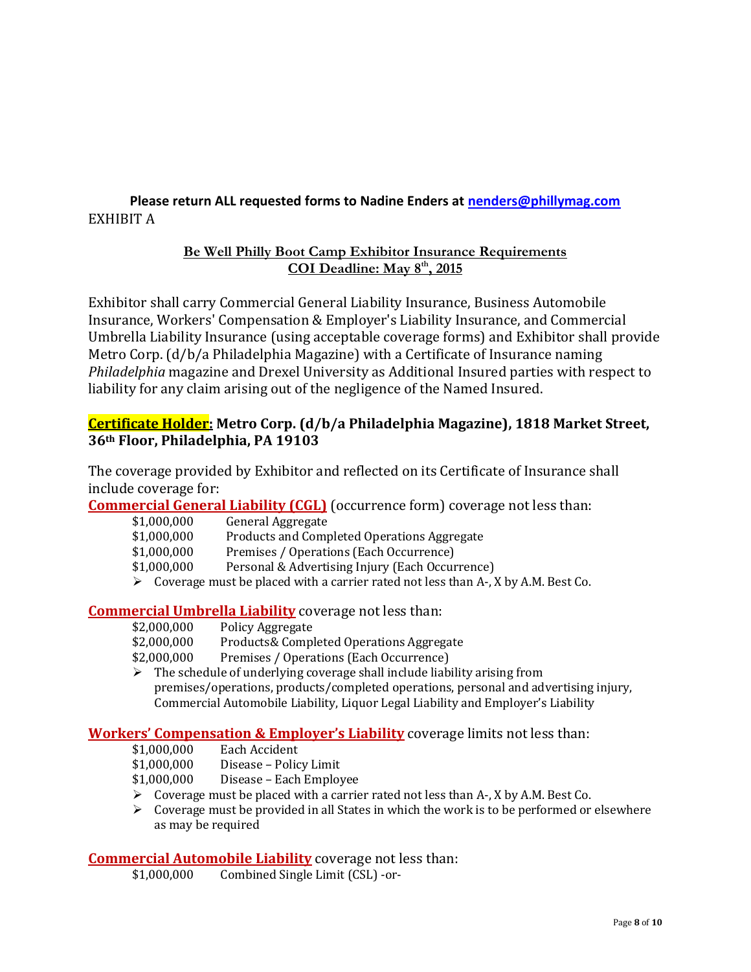## **Please return ALL requested forms to Nadine Enders at [nenders@phillymag.com](mailto:nenders@phillymag.com)** EXHIBIT A

### **Be Well Philly Boot Camp Exhibitor Insurance Requirements COI Deadline: May 8th, 2015**

Exhibitor shall carry Commercial General Liability Insurance, Business Automobile Insurance, Workers' Compensation & Employer's Liability Insurance, and Commercial Umbrella Liability Insurance (using acceptable coverage forms) and Exhibitor shall provide Metro Corp. (d/b/a Philadelphia Magazine) with a Certificate of Insurance naming *Philadelphia* magazine and Drexel University as Additional Insured parties with respect to liability for any claim arising out of the negligence of the Named Insured.

## **Certificate Holder: Metro Corp. (d/b/a Philadelphia Magazine), 1818 Market Street, 36th Floor, Philadelphia, PA 19103**

The coverage provided by Exhibitor and reflected on its Certificate of Insurance shall include coverage for:

**Commercial General Liability (CGL)** (occurrence form) coverage not less than:

| \$1,000,000 | General Aggregate                               |  |
|-------------|-------------------------------------------------|--|
| \$1,000,000 | Products and Completed Operations Aggregate     |  |
| \$1,000,000 | Premises / Operations (Each Occurrence)         |  |
| \$1,000,000 | Personal & Advertising Injury (Each Occurrence) |  |
|             |                                                 |  |

 $\triangleright$  Coverage must be placed with a carrier rated not less than A-, X by A.M. Best Co.

## **Commercial Umbrella Liability** coverage not less than:

| \$2,000,000 | Policy Aggregate                         |
|-------------|------------------------------------------|
| \$2,000,000 | Products& Completed Operations Aggregate |
| \$2,000,000 | Premises / Operations (Each Occurrence)  |

 $\triangleright$  The schedule of underlying coverage shall include liability arising from premises/operations, products/completed operations, personal and advertising injury, Commercial Automobile Liability, Liquor Legal Liability and Employer's Liability

## **Workers' Compensation & Employer's Liability** coverage limits not less than:

| \$1,000,000   | Each Accident |
|---------------|---------------|
| $AA$ $000000$ | יז יו ה       |

- \$1,000,000 Disease Policy Limit
- \$1,000,000 Disease Each Employee
- $\triangleright$  Coverage must be placed with a carrier rated not less than A-, X by A.M. Best Co.
- $\triangleright$  Coverage must be provided in all States in which the work is to be performed or elsewhere as may be required

### **Commercial Automobile Liability** coverage not less than:

\$1,000,000 Combined Single Limit (CSL) -or-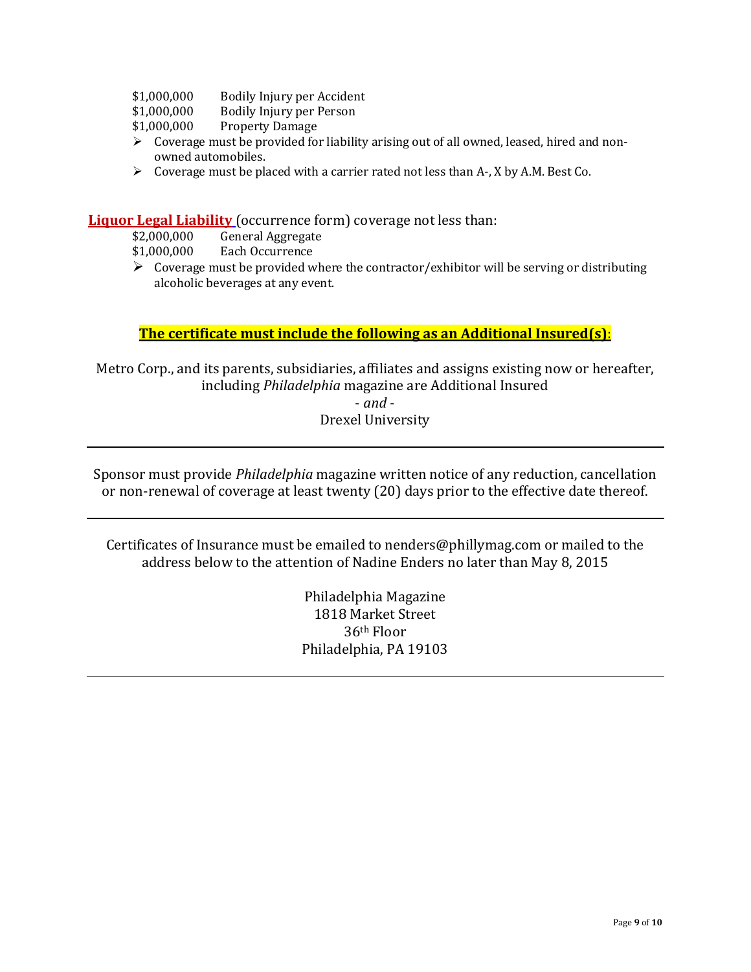- \$1,000,000 Bodily Injury per Accident
- \$1,000,000 Bodily Injury per Person
- \$1,000,000 Property Damage
- Coverage must be provided for liability arising out of all owned, leased, hired and nonowned automobiles.
- $\triangleright$  Coverage must be placed with a carrier rated not less than A-, X by A.M. Best Co.

**Liquor Legal Liability** (occurrence form) coverage not less than:

| \$2,000,000  | <b>General Aggregate</b> |  |
|--------------|--------------------------|--|
| $*1.000.000$ | Each Occurronco          |  |

- \$1,000,000 Each Occurrence
- $\triangleright$  Coverage must be provided where the contractor/exhibitor will be serving or distributing alcoholic beverages at any event.

### **The certificate must include the following as an Additional Insured(s)**:

Metro Corp., and its parents, subsidiaries, affiliates and assigns existing now or hereafter, including *Philadelphia* magazine are Additional Insured

> - *and* - Drexel University

Sponsor must provide *Philadelphia* magazine written notice of any reduction, cancellation or non-renewal of coverage at least twenty (20) days prior to the effective date thereof.

Certificates of Insurance must be emailed to nender[s@phillymag.com](mailto:mgavin@bostonmagazine.com) or mailed to the address below to the attention of Nadine Enders no later than May 8, 2015

> Philadelphia Magazine 1818 Market Street 36th Floor Philadelphia, PA 19103